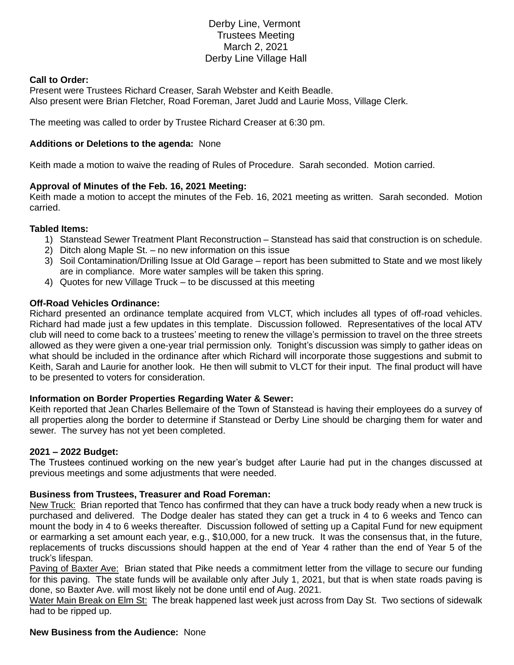# Derby Line, Vermont Trustees Meeting March 2, 2021 Derby Line Village Hall

### **Call to Order:**

Present were Trustees Richard Creaser, Sarah Webster and Keith Beadle. Also present were Brian Fletcher, Road Foreman, Jaret Judd and Laurie Moss, Village Clerk.

The meeting was called to order by Trustee Richard Creaser at 6:30 pm.

### **Additions or Deletions to the agenda:** None

Keith made a motion to waive the reading of Rules of Procedure. Sarah seconded. Motion carried.

# **Approval of Minutes of the Feb. 16, 2021 Meeting:**

Keith made a motion to accept the minutes of the Feb. 16, 2021 meeting as written. Sarah seconded. Motion carried.

### **Tabled Items:**

- 1) Stanstead Sewer Treatment Plant Reconstruction Stanstead has said that construction is on schedule.
- 2) Ditch along Maple St. no new information on this issue
- 3) Soil Contamination/Drilling Issue at Old Garage report has been submitted to State and we most likely are in compliance. More water samples will be taken this spring.
- 4) Quotes for new Village Truck to be discussed at this meeting

### **Off-Road Vehicles Ordinance:**

Richard presented an ordinance template acquired from VLCT, which includes all types of off-road vehicles. Richard had made just a few updates in this template. Discussion followed. Representatives of the local ATV club will need to come back to a trustees' meeting to renew the village's permission to travel on the three streets allowed as they were given a one-year trial permission only. Tonight's discussion was simply to gather ideas on what should be included in the ordinance after which Richard will incorporate those suggestions and submit to Keith, Sarah and Laurie for another look. He then will submit to VLCT for their input. The final product will have to be presented to voters for consideration.

# **Information on Border Properties Regarding Water & Sewer:**

Keith reported that Jean Charles Bellemaire of the Town of Stanstead is having their employees do a survey of all properties along the border to determine if Stanstead or Derby Line should be charging them for water and sewer. The survey has not yet been completed.

#### **2021 – 2022 Budget:**

The Trustees continued working on the new year's budget after Laurie had put in the changes discussed at previous meetings and some adjustments that were needed.

# **Business from Trustees, Treasurer and Road Foreman:**

New Truck: Brian reported that Tenco has confirmed that they can have a truck body ready when a new truck is purchased and delivered. The Dodge dealer has stated they can get a truck in 4 to 6 weeks and Tenco can mount the body in 4 to 6 weeks thereafter. Discussion followed of setting up a Capital Fund for new equipment or earmarking a set amount each year, e.g., \$10,000, for a new truck. It was the consensus that, in the future, replacements of trucks discussions should happen at the end of Year 4 rather than the end of Year 5 of the truck's lifespan.

Paving of Baxter Ave: Brian stated that Pike needs a commitment letter from the village to secure our funding for this paving. The state funds will be available only after July 1, 2021, but that is when state roads paving is done, so Baxter Ave. will most likely not be done until end of Aug. 2021.

Water Main Break on Elm St: The break happened last week just across from Day St. Two sections of sidewalk had to be ripped up.

#### **New Business from the Audience:** None